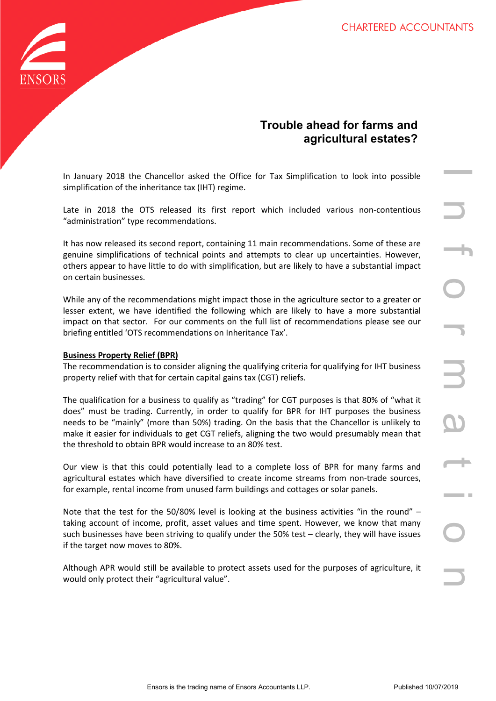

# **Trouble ahead for farms and agricultural estates?**

In January 2018 the Chancellor asked the Office for Tax Simplification to look into possible simplification of the inheritance tax (IHT) regime.

Late in 2018 the OTS released its first report which included various non-contentious "administration" type recommendations.

It has now released its second report, containing 11 main recommendations. Some of these are genuine simplifications of technical points and attempts to clear up uncertainties. However, others appear to have little to do with simplification, but are likely to have a substantial impact on certain businesses.

While any of the recommendations might impact those in the agriculture sector to a greater or lesser extent, we have identified the following which are likely to have a more substantial impact on that sector. For our comments on the full list of recommendations please see our briefing entitled 'OTS recommendations on Inheritance Tax'.

## **Business Property Relief (BPR)**

The recommendation is to consider aligning the qualifying criteria for qualifying for IHT business property relief with that for certain capital gains tax (CGT) reliefs.

Ensorello resket the office for Tax Simplification to look into possible<br>
Then cristed its first report which included various non-contentious<br>
TS released its first report which included various non-contentious<br>
seconnel The qualification for a business to qualify as "trading" for CGT purposes is that 80% of "what it does" must be trading. Currently, in order to qualify for BPR for IHT purposes the business needs to be "mainly" (more than 50%) trading. On the basis that the Chancellor is unlikely to make it easier for individuals to get CGT reliefs, aligning the two would presumably mean that the threshold to obtain BPR would increase to an 80% test.

Our view is that this could potentially lead to a complete loss of BPR for many farms and agricultural estates which have diversified to create income streams from non-trade sources, for example, rental income from unused farm buildings and cottages or solar panels.

Note that the test for the 50/80% level is looking at the business activities "in the round" – taking account of income, profit, asset values and time spent. However, we know that many such businesses have been striving to qualify under the 50% test – clearly, they will have issues if the target now moves to 80%.

Although APR would still be available to protect assets used for the purposes of agriculture, it would only protect their "agricultural value".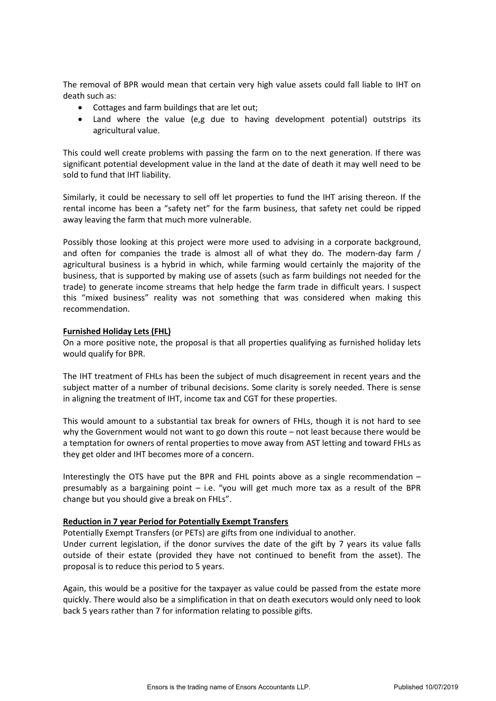The removal of BPR would mean that certain very high value assets could fall liable to IHT on death such as:

- Cottages and farm buildings that are let out;
- Land where the value (e,g due to having development potential) outstrips its agricultural value.

This could well create problems with passing the farm on to the next generation. If there was significant potential development value in the land at the date of death it may well need to be sold to fund that IHT liability.

Similarly, it could be necessary to sell off let properties to fund the IHT arising thereon. If the rental income has been a "safety net" for the farm business, that safety net could be ripped away leaving the farm that much more vulnerable.

Possibly those looking at this project were more used to advising in a corporate background, and often for companies the trade is almost all of what they do. The modern-day farm / agricultural business is a hybrid in which, while farming would certainly the majority of the business, that is supported by making use of assets (such as farm buildings not needed for the trade) to generate income streams that help hedge the farm trade in difficult years. I suspect this "mixed business" reality was not something that was considered when making this recommendation.

## **Furnished Holiday Lets (FHL)**

On a more positive note, the proposal is that all properties qualifying as furnished holiday lets would qualify for BPR.

The IHT treatment of FHLs has been the subject of much disagreement in recent years and the subject matter of a number of tribunal decisions. Some clarity is sorely needed. There is sense in aligning the treatment of IHT, income tax and CGT for these properties.

This would amount to a substantial tax break for owners of FHLs, though it is not hard to see why the Government would not want to go down this route – not least because there would be a temptation for owners of rental properties to move away from AST letting and toward FHLs as they get older and IHT becomes more of a concern.

Interestingly the OTS have put the BPR and FHL points above as a single recommendation – presumably as a bargaining point – i.e. "you will get much more tax as a result of the BPR change but you should give a break on FHLs".

#### **Reduction in 7 year Period for Potentially Exempt Transfers**

Potentially Exempt Transfers (or PETs) are gifts from one individual to another.

Under current legislation, if the donor survives the date of the gift by 7 years its value falls outside of their estate (provided they have not continued to benefit from the asset). The proposal is to reduce this period to 5 years.

Again, this would be a positive for the taxpayer as value could be passed from the estate more quickly. There would also be a simplification in that on death executors would only need to look back 5 years rather than 7 for information relating to possible gifts.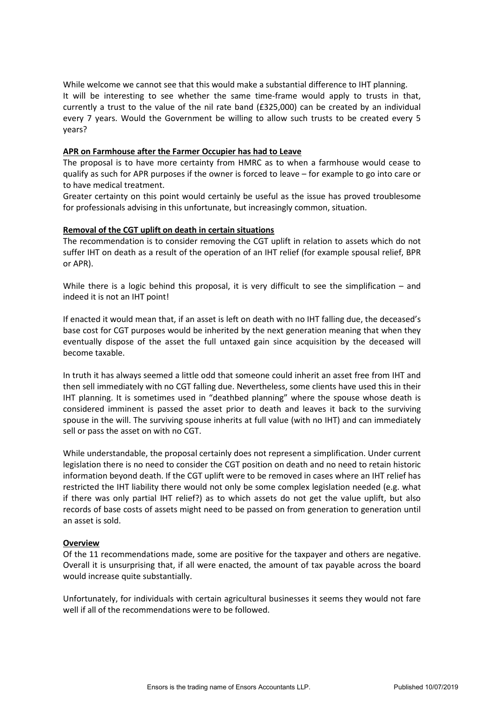While welcome we cannot see that this would make a substantial difference to IHT planning. It will be interesting to see whether the same time-frame would apply to trusts in that, currently a trust to the value of the nil rate band (£325,000) can be created by an individual every 7 years. Would the Government be willing to allow such trusts to be created every 5 years?

## **APR on Farmhouse after the Farmer Occupier has had to Leave**

The proposal is to have more certainty from HMRC as to when a farmhouse would cease to qualify as such for APR purposes if the owner is forced to leave – for example to go into care or to have medical treatment.

Greater certainty on this point would certainly be useful as the issue has proved troublesome for professionals advising in this unfortunate, but increasingly common, situation.

## **Removal of the CGT uplift on death in certain situations**

The recommendation is to consider removing the CGT uplift in relation to assets which do not suffer IHT on death as a result of the operation of an IHT relief (for example spousal relief, BPR or APR).

While there is a logic behind this proposal, it is very difficult to see the simplification – and indeed it is not an IHT point!

If enacted it would mean that, if an asset is left on death with no IHT falling due, the deceased's base cost for CGT purposes would be inherited by the next generation meaning that when they eventually dispose of the asset the full untaxed gain since acquisition by the deceased will become taxable.

In truth it has always seemed a little odd that someone could inherit an asset free from IHT and then sell immediately with no CGT falling due. Nevertheless, some clients have used this in their IHT planning. It is sometimes used in "deathbed planning" where the spouse whose death is considered imminent is passed the asset prior to death and leaves it back to the surviving spouse in the will. The surviving spouse inherits at full value (with no IHT) and can immediately sell or pass the asset on with no CGT.

While understandable, the proposal certainly does not represent a simplification. Under current legislation there is no need to consider the CGT position on death and no need to retain historic information beyond death. If the CGT uplift were to be removed in cases where an IHT relief has restricted the IHT liability there would not only be some complex legislation needed (e.g. what if there was only partial IHT relief?) as to which assets do not get the value uplift, but also records of base costs of assets might need to be passed on from generation to generation until an asset is sold.

## **Overview**

Of the 11 recommendations made, some are positive for the taxpayer and others are negative. Overall it is unsurprising that, if all were enacted, the amount of tax payable across the board would increase quite substantially.

Unfortunately, for individuals with certain agricultural businesses it seems they would not fare well if all of the recommendations were to be followed.